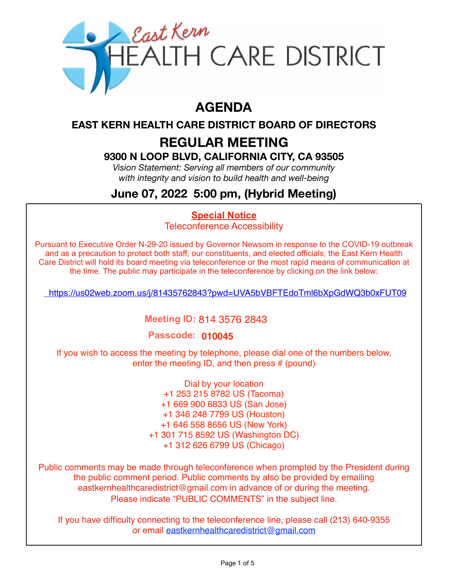

# **AGENDA**

**EAST KERN HEALTH CARE DISTRICT BOARD OF DIRECTORS** 

# **REGULAR MEETING**

## **9300 N LOOP BLVD, CALIFORNIA CITY, CA 93505**

*Vision Statement: Serving all members of our community with integrity and vision to build health and well-being*

# **June 07, 2022 5:00 pm, (Hybrid Meeting)**

#### **Special Notice**

Teleconference Accessibility

Pursuant to Executive Order N-29-20 issued by Governor Newsom in response to the COVID-19 outbreak and as a precaution to protect both staff, our constituents, and elected officials, the East Kern Health Care District will hold its board meeting via teleconference or the most rapid means of communication at the time. The public may participate in the teleconference by clicking on the link below:

<https://us02web.zoom.us/j/81435762843?pwd=UVA5bVBFTEdoTml6bXpGdWQ3b0xFUT09>

### **Meeting ID:** 814 3576 2843

#### **Passcode: 010045**

If you wish to access the meeting by telephone, please dial one of the numbers below, enter the meeting ID, and then press # (pound)

> Dial by your location +1 253 215 8782 US (Tacoma) +1 669 900 6833 US (San Jose) +1 346 248 7799 US (Houston) +1 646 558 8656 US (New York) +1 301 715 8592 US (Washington DC) +1 312 626 6799 US (Chicago)

Public comments may be made through teleconference when prompted by the President during the public comment period. Public comments by also be provided by emailing eastkernhealthcaredistrict@gmail.com in advance of or during the meeting. Please indicate "PUBLIC COMMENTS" in the subject line.

If you have difficulty connecting to the teleconference line, please call (213) 640-9355 or email eastkernhealthcaredistrict@gmail.com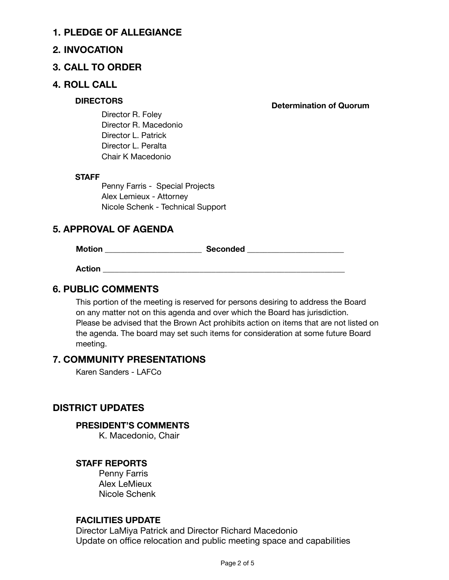#### **1. PLEDGE OF ALLEGIANCE**

#### **2. INVOCATION**

#### **3. CALL TO ORDER**

#### **4. ROLL CALL**

**DIRECTORS** DIRECTORS **DETAILS** Determination of Quorum

Director R. Foley Director R. Macedonio Director L. Patrick Director L. Peralta Chair K Macedonio

#### **STAFF**

Penny Farris - Special Projects Alex Lemieux - Attorney Nicole Schenk - Technical Support

#### **5. APPROVAL OF AGENDA**

**Motion \_\_\_\_\_\_\_\_\_\_\_\_\_\_\_\_\_\_\_\_\_\_\_\_ Seconded \_\_\_\_\_\_\_\_\_\_\_\_\_\_\_\_\_\_\_\_\_\_\_\_** 

**Action \_\_\_\_\_\_\_\_\_\_\_\_\_\_\_\_\_\_\_\_\_\_\_\_\_\_\_\_\_\_\_\_\_\_\_\_\_\_\_\_\_\_\_\_\_\_\_\_\_\_\_\_\_\_\_\_\_\_\_\_** 

#### **6. PUBLIC COMMENTS**

This portion of the meeting is reserved for persons desiring to address the Board on any matter not on this agenda and over which the Board has jurisdiction. Please be advised that the Brown Act prohibits action on items that are not listed on the agenda. The board may set such items for consideration at some future Board meeting.

#### **7. COMMUNITY PRESENTATIONS**

Karen Sanders - LAFCo

#### **DISTRICT UPDATES**

#### **PRESIDENT'S COMMENTS**

K. Macedonio, Chair

#### **STAFF REPORTS**

Penny Farris Alex LeMieux Nicole Schenk

#### **FACILITIES UPDATE**

Director LaMiya Patrick and Director Richard Macedonio Update on office relocation and public meeting space and capabilities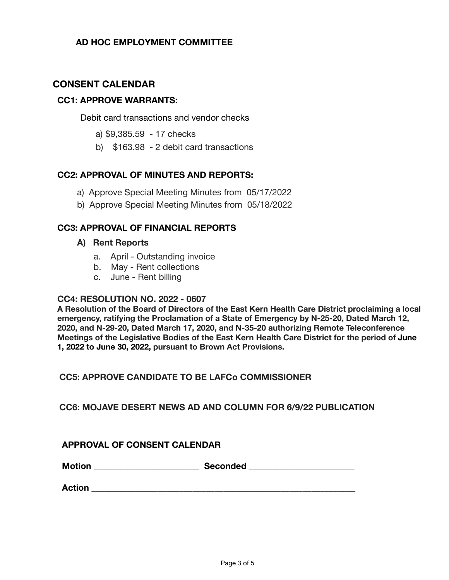#### **AD HOC EMPLOYMENT COMMITTEE**

#### **CONSENT CALENDAR**

#### **CC1: APPROVE WARRANTS:**

Debit card transactions and vendor checks

- a) \$9,385.59 17 checks
- b) \$163.98 2 debit card transactions

#### **CC2: APPROVAL OF MINUTES AND REPORTS:**

- a) Approve Special Meeting Minutes from 05/17/2022
- b) Approve Special Meeting Minutes from 05/18/2022

#### **CC3: APPROVAL OF FINANCIAL REPORTS**

#### **A) Rent Reports**

- a. April Outstanding invoice
- b. May Rent collections
- c. June Rent billing

#### **CC4: RESOLUTION NO. 2022 - 0607**

**A Resolution of the Board of Directors of the East Kern Health Care District proclaiming a local emergency, ratifying the Proclamation of a State of Emergency by N-25-20, Dated March 12, 2020, and N-29-20, Dated March 17, 2020, and N-35-20 authorizing Remote Teleconference Meetings of the Legislative Bodies of the East Kern Health Care District for the period of June 1, 2022 to June 30, 2022, pursuant to Brown Act Provisions.** 

#### **CC5: APPROVE CANDIDATE TO BE LAFCo COMMISSIONER**

#### **CC6: MOJAVE DESERT NEWS AD AND COLUMN FOR 6/9/22 PUBLICATION**

#### **APPROVAL OF CONSENT CALENDAR**

**Motion \_\_\_\_\_\_\_\_\_\_\_\_\_\_\_\_\_\_\_\_\_\_\_\_ Seconded \_\_\_\_\_\_\_\_\_\_\_\_\_\_\_\_\_\_\_\_\_\_\_\_** 

**Action Action**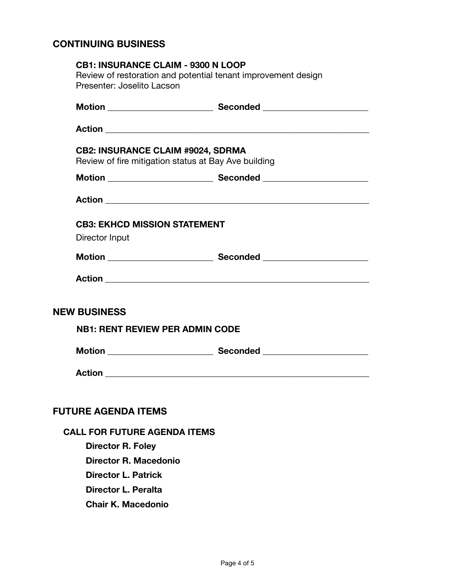#### **CONTINUING BUSINESS**

| <b>CB1: INSURANCE CLAIM - 9300 N LOOP</b> |                                                               |
|-------------------------------------------|---------------------------------------------------------------|
|                                           | Review of restoration and potential tenant improvement design |
| Presenter: Joselito Lacson                |                                                               |
|                                           |                                                               |
|                                           |                                                               |
| <b>CB2: INSURANCE CLAIM #9024, SDRMA</b>  |                                                               |
|                                           | Review of fire mitigation status at Bay Ave building          |
|                                           |                                                               |
|                                           |                                                               |
| <b>CB3: EKHCD MISSION STATEMENT</b>       |                                                               |
| Director Input                            |                                                               |
|                                           |                                                               |
|                                           |                                                               |
| <b>NEW BUSINESS</b>                       |                                                               |
| <b>NB1: RENT REVIEW PER ADMIN CODE</b>    |                                                               |
|                                           |                                                               |
|                                           |                                                               |
|                                           |                                                               |
| <b>FUTURE AGENDA ITEMS</b>                |                                                               |
| <b>CALL FOR FUTURE AGENDA ITEMS</b>       |                                                               |
| <b>Director R. Foley</b>                  |                                                               |
| Director R. Macedonio                     |                                                               |
| <b>Director L. Patrick</b>                |                                                               |

**Director L. Peralta**

**Chair K. Macedonio**